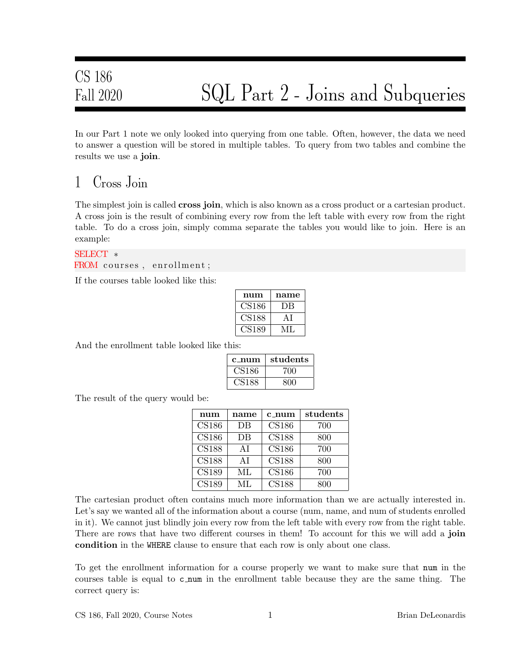In our Part 1 note we only looked into querying from one table. Often, however, the data we need to answer a question will be stored in multiple tables. To query from two tables and combine the results we use a join.

### 1 Cross Join

The simplest join is called **cross join**, which is also known as a cross product or a cartesian product. A cross join is the result of combining every row from the left table with every row from the right table. To do a cross join, simply comma separate the tables you would like to join. Here is an example:

SELECT ∗ FROM courses, enrollment;

If the courses table looked like this:

| num          | name |
|--------------|------|
| <b>CS186</b> | DВ   |
| CS188        | ΑI   |
| CS189        | VH.  |

And the enrollment table looked like this:

| c num        | students |
|--------------|----------|
| <b>CS186</b> | 700      |
| US188        | 800      |

The result of the query would be:

| num          | name | c_num        | students |
|--------------|------|--------------|----------|
| <b>CS186</b> | DB   | <b>CS186</b> | 700      |
| <b>CS186</b> | DB   | <b>CS188</b> | 800      |
| <b>CS188</b> | AI   | <b>CS186</b> | 700      |
| <b>CS188</b> | ΑI   | <b>CS188</b> | 800      |
| <b>CS189</b> | МL   | <b>CS186</b> | 700      |
| <b>CS189</b> | ML.  | <b>CS188</b> | 800      |

The cartesian product often contains much more information than we are actually interested in. Let's say we wanted all of the information about a course (num, name, and num of students enrolled in it). We cannot just blindly join every row from the left table with every row from the right table. There are rows that have two different courses in them! To account for this we will add a join condition in the WHERE clause to ensure that each row is only about one class.

To get the enrollment information for a course properly we want to make sure that num in the courses table is equal to c num in the enrollment table because they are the same thing. The correct query is: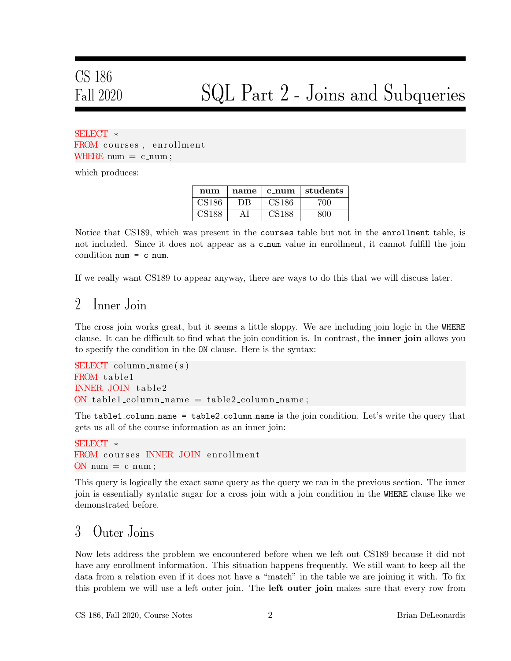# CS 186

# Fall 2020 SQL Part 2 - Joins and Subqueries

#### SELECT ∗ FROM courses, enrollment WHERE  $num = c_name;$

which produces:

| num | name | $c_{\text{num}}$ | students |
|-----|------|------------------|----------|
|     |      |                  | 71 M     |
|     |      |                  |          |

Notice that CS189, which was present in the courses table but not in the enrollment table, is not included. Since it does not appear as a c num value in enrollment, it cannot fulfill the join condition  $num = c_{num}$ .

If we really want CS189 to appear anyway, there are ways to do this that we will discuss later.

#### 2 Inner Join

The cross join works great, but it seems a little sloppy. We are including join logic in the WHERE clause. It can be difficult to find what the join condition is. In contrast, the inner join allows you to specify the condition in the ON clause. Here is the syntax:

```
SELECT column name (s)
FROM table1
INNER JOIN table2
ON table 1_column_name = table 2_column_name;
```
The table1\_column\_name = table2\_column\_name is the join condition. Let's write the query that gets us all of the course information as an inner join:

```
SELECT ∗
FROM courses INNER JOIN enrollment
ON num = c_num;
```
This query is logically the exact same query as the query we ran in the previous section. The inner join is essentially syntatic sugar for a cross join with a join condition in the WHERE clause like we demonstrated before.

### 3 Outer Joins

Now lets address the problem we encountered before when we left out CS189 because it did not have any enrollment information. This situation happens frequently. We still want to keep all the data from a relation even if it does not have a "match" in the table we are joining it with. To fix this problem we will use a left outer join. The **left outer join** makes sure that every row from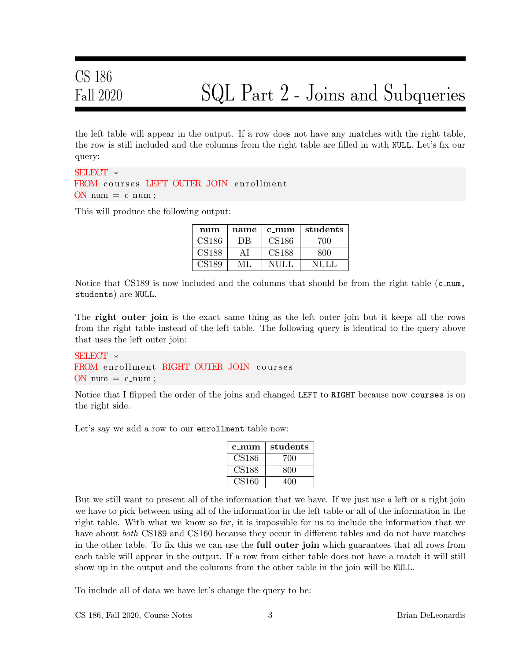the left table will appear in the output. If a row does not have any matches with the right table, the row is still included and the columns from the right table are filled in with NULL. Let's fix our query:

#### SELECT ∗ FROM courses LEFT OUTER JOIN enrollment  $ON$  num  $= c$ \_num;

This will produce the following output:

| num               | name | $c_{\text{num}}$  | students |
|-------------------|------|-------------------|----------|
| CS186             | DR   | CS186             | 700      |
| CS <sub>188</sub> | ΑI   | CS <sub>188</sub> | 800      |
| 3189              | MI   |                   | NHL      |

Notice that CS189 is now included and the columns that should be from the right table  $(c_{\text{num}},$ students) are NULL.

The right outer join is the exact same thing as the left outer join but it keeps all the rows from the right table instead of the left table. The following query is identical to the query above that uses the left outer join:

#### SELECT ∗ FROM enrollment RIGHT OUTER JOIN courses  $ON$  num  $=$  c\_num;

Notice that I flipped the order of the joins and changed LEFT to RIGHT because now courses is on the right side.

Let's say we add a row to our enrollment table now:

| $c_{\text{num}}$ | students |
|------------------|----------|
| CS186            | 700      |
| <b>CS188</b>     | 800      |
| CS160            | 400      |

But we still want to present all of the information that we have. If we just use a left or a right join we have to pick between using all of the information in the left table or all of the information in the right table. With what we know so far, it is impossible for us to include the information that we have about *both* CS189 and CS160 because they occur in different tables and do not have matches in the other table. To fix this we can use the **full outer join** which guarantees that all rows from each table will appear in the output. If a row from either table does not have a match it will still show up in the output and the columns from the other table in the join will be NULL.

To include all of data we have let's change the query to be: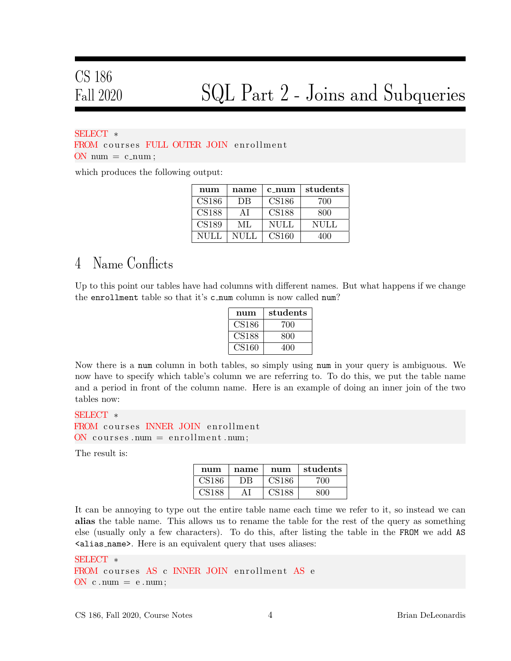#### SELECT ∗

FROM courses FULL OUTER JOIN enrollment  $ON$  num  $= c$ \_num;

which produces the following output:

| num         | name | $c_{1}$ num       | students |
|-------------|------|-------------------|----------|
| CS186       | DВ   | CS186             | 700      |
| CS188       | ΑI   | CS188             | 800      |
| CS189       | ML   | NULL              | NULL     |
| <b>NULL</b> | NULL | CS <sub>160</sub> | 400      |

#### 4 Name Conflicts

Up to this point our tables have had columns with different names. But what happens if we change the enrollment table so that it's c num column is now called num?

| num   | students |
|-------|----------|
| CS186 | 700      |
| CS188 | 800      |
| CS160 | 400      |

Now there is a num column in both tables, so simply using num in your query is ambiguous. We now have to specify which table's column we are referring to. To do this, we put the table name and a period in front of the column name. Here is an example of doing an inner join of the two tables now:

SELECT ∗ FROM courses INNER JOIN enrollment  $\overline{\text{ON}}$  courses . num = enrollment . num;

The result is:

| num      | name | num   | students |
|----------|------|-------|----------|
| CS186    | DB.  | CS186 | 700.     |
| . 191.99 |      |       | חר       |

It can be annoying to type out the entire table name each time we refer to it, so instead we can alias the table name. This allows us to rename the table for the rest of the query as something else (usually only a few characters). To do this, after listing the table in the FROM we add AS <alias name>. Here is an equivalent query that uses aliases:

```
SELECT ∗
FROM courses AS c INNER JOIN enrollment AS e
ON c . num = e . num;
```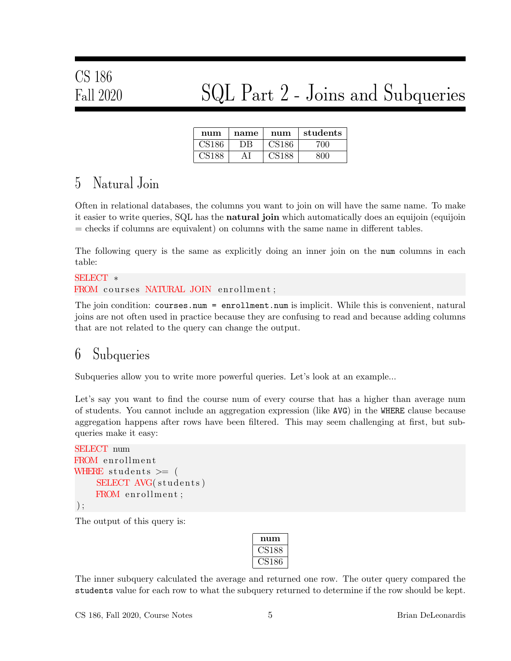# CS 186

### Fall 2020 SQL Part 2 - Joins and Subqueries

| num | name | num | students |
|-----|------|-----|----------|
|     |      |     |          |
|     |      |     |          |

### 5 Natural Join

Often in relational databases, the columns you want to join on will have the same name. To make it easier to write queries, SQL has the **natural join** which automatically does an equijoin (equijoin = checks if columns are equivalent) on columns with the same name in different tables.

The following query is the same as explicitly doing an inner join on the num columns in each table:

#### SELECT ∗ FROM courses NATURAL JOIN enrollment;

The join condition: courses.num = enrollment.num is implicit. While this is convenient, natural joins are not often used in practice because they are confusing to read and because adding columns that are not related to the query can change the output.

#### 6 Subqueries

Subqueries allow you to write more powerful queries. Let's look at an example...

Let's say you want to find the course num of every course that has a higher than average num of students. You cannot include an aggregation expression (like AVG) in the WHERE clause because aggregation happens after rows have been filtered. This may seem challenging at first, but subqueries make it easy:

```
SELECT num
FROM enrollment
WHERE students \geq (
    SELECT AVG(students)
    FROM enrollment;
);
```
The output of this query is:

| num      |
|----------|
| 5188     |
| 518<br>h |

The inner subquery calculated the average and returned one row. The outer query compared the students value for each row to what the subquery returned to determine if the row should be kept.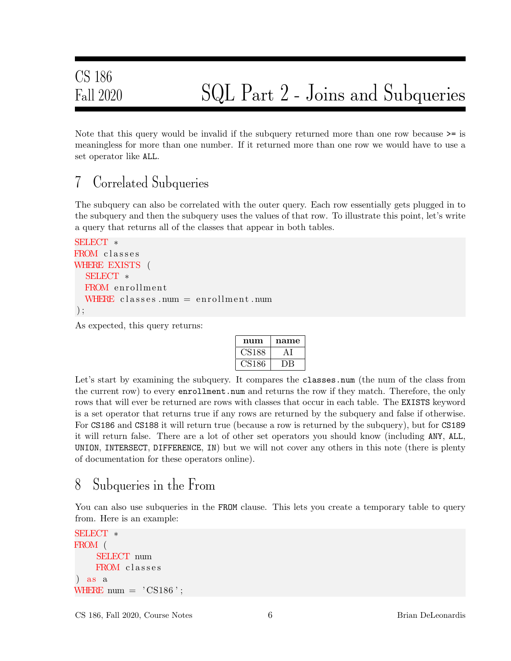Note that this query would be invalid if the subquery returned more than one row because  $\geq$ = is meaningless for more than one number. If it returned more than one row we would have to use a set operator like ALL.

### 7 Correlated Subqueries

The subquery can also be correlated with the outer query. Each row essentially gets plugged in to the subquery and then the subquery uses the values of that row. To illustrate this point, let's write a query that returns all of the classes that appear in both tables.

```
SELECT ∗
FROM classes
WHERE EXISTS (
  SELECT ∗
  FROM enrollment
  WHERE classes . num = enrollment . num
) ;
```
As expected, this query returns:

| num    | name |
|--------|------|
| US 188 |      |
| US186  |      |

Let's start by examining the subquery. It compares the classes.num (the num of the class from the current row) to every enrollment.num and returns the row if they match. Therefore, the only rows that will ever be returned are rows with classes that occur in each table. The **EXISTS** keyword is a set operator that returns true if any rows are returned by the subquery and false if otherwise. For CS186 and CS188 it will return true (because a row is returned by the subquery), but for CS189 it will return false. There are a lot of other set operators you should know (including ANY, ALL, UNION, INTERSECT, DIFFERENCE, IN) but we will not cover any others in this note (there is plenty of documentation for these operators online).

### 8 Subqueries in the From

You can also use subqueries in the FROM clause. This lets you create a temporary table to query from. Here is an example:

```
SELECT ∗
FROM (
    SELECT num
    FROM classes
) as a
WHERE num = 'CS186 ';
```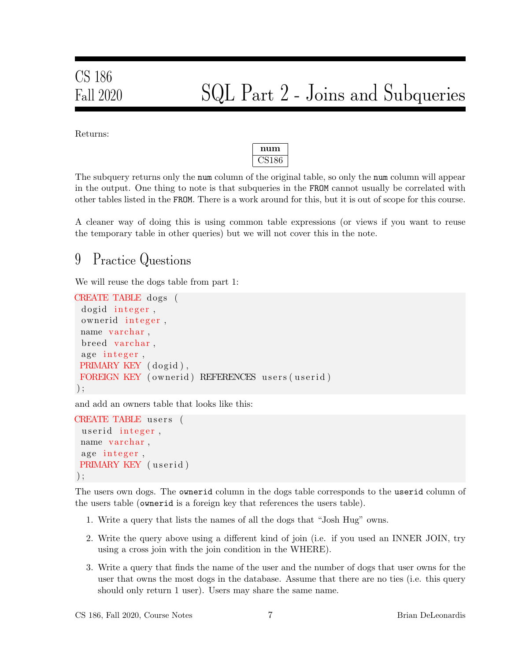Returns:



The subquery returns only the num column of the original table, so only the num column will appear in the output. One thing to note is that subqueries in the FROM cannot usually be correlated with other tables listed in the FROM. There is a work around for this, but it is out of scope for this course.

A cleaner way of doing this is using common table expressions (or views if you want to reuse the temporary table in other queries) but we will not cover this in the note.

### 9 Practice Questions

We will reuse the dogs table from part 1:

```
CREATE TABLE dogs (
 dogid integer,
 ownerid integer,
 name varchar,
 breed varchar,
 age integer,
 PRIMARY KEY (dogid),
 FOREIGN KEY (ownerid) REFERENCES users (userid)
) ;
```
and add an owners table that looks like this:

```
CREATE TABLE users (
 userid integer,
 name varchar,
 age integer,
PRIMARY KEY (userid)
);
```
The users own dogs. The ownerid column in the dogs table corresponds to the userid column of the users table (ownerid is a foreign key that references the users table).

- 1. Write a query that lists the names of all the dogs that "Josh Hug" owns.
- 2. Write the query above using a different kind of join (i.e. if you used an INNER JOIN, try using a cross join with the join condition in the WHERE).
- 3. Write a query that finds the name of the user and the number of dogs that user owns for the user that owns the most dogs in the database. Assume that there are no ties (i.e. this query should only return 1 user). Users may share the same name.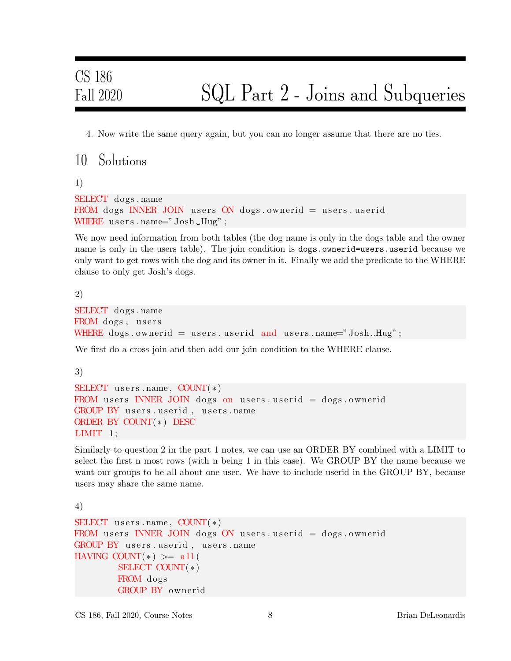4. Now write the same query again, but you can no longer assume that there are no ties.

10 Solutions

1)

```
SELECT dogs . name
FROM dogs INNER JOIN users ON dogs ownerid = users userid
WHERE users.name="\mathrm{Josh}\_\mathrm{Hug}";
```
We now need information from both tables (the dog name is only in the dogs table and the owner name is only in the users table). The join condition is dogs.ownerid=users.userid because we only want to get rows with the dog and its owner in it. Finally we add the predicate to the WHERE clause to only get Josh's dogs.

2)

```
SELECT dogs . name
FROM dogs, users
WHERE dogs ownerid = users userid and users name="Josh Hug";
```
We first do a cross join and then add our join condition to the WHERE clause.

3)

```
SELECT users . name, COUNT(*)FROM users INNER JOIN dogs on users userid = dogs ownerid
GROUP BY users.userid, users.name
ORDER BY COUNT(*) DESC
LIMIT 1;
```
Similarly to question 2 in the part 1 notes, we can use an ORDER BY combined with a LIMIT to select the first n most rows (with n being 1 in this case). We GROUP BY the name because we want our groups to be all about one user. We have to include userid in the GROUP BY, because users may share the same name.

4)

```
SELECT users . name, COUNT(*)FROM users INNER JOIN dogs ON users userid = dogs ownerid
GROUP BY users userid, users . name
HAVING COUNT(*) >= all(
        SELECT COUNT( ∗ )
        FROM dogs
        GROUP BY ownerid
```